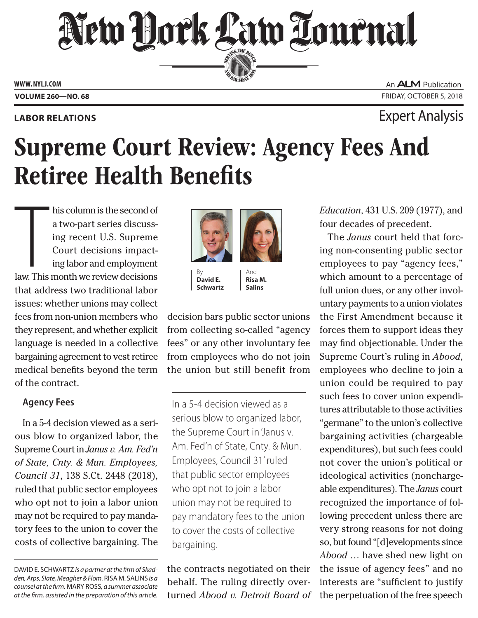# New Hork Law Lournal SERVING THE BET

**ED BAR SINCE 1888** 

**www. NYLJ.com**

An **ALM** Publication **Volume 260—NO. 68** Friday, October 5, 2018

**Labor Relations** Expert Analysis

# Supreme Court Review: Agency Fees And Retiree Health Benefits

**THE**<br>This his column is the second of a two-part series discussing recent U.S. Supreme Court decisions impacting labor and employment law. This month we review decisions that address two traditional labor issues: whether unions may collect fees from non-union members who they represent, and whether explicit language is needed in a collective bargaining agreement to vest retiree medical benefits beyond the term of the contract.

## **Agency Fees**

In a 5-4 decision viewed as a serious blow to organized labor, the Supreme Court in *Janus v. Am. Fed'n of State, Cnty. & Mun. Employees, Council 31*, 138 S.Ct. 2448 (2018), ruled that public sector employees who opt not to join a labor union may not be required to pay mandatory fees to the union to cover the costs of collective bargaining. The





By **David E. Schwartz**

And **Risa M. Salins**

decision bars public sector unions from collecting so-called "agency fees" or any other involuntary fee from employees who do not join the union but still benefit from

In a 5-4 decision viewed as a serious blow to organized labor, the Supreme Court in 'Janus v. Am. Fed'n of State, Cnty. & Mun. Employees, Council 31' ruled that public sector employees who opt not to join a labor union may not be required to pay mandatory fees to the union to cover the costs of collective bargaining.

the contracts negotiated on their behalf. The ruling directly overturned *Abood v. Detroit Board of*  *Education*, 431 U.S. 209 (1977), and four decades of precedent.

The *Janus* court held that forcing non-consenting public sector employees to pay "agency fees," which amount to a percentage of full union dues, or any other involuntary payments to a union violates the First Amendment because it forces them to support ideas they may find objectionable. Under the Supreme Court's ruling in *Abood*, employees who decline to join a union could be required to pay such fees to cover union expenditures attributable to those activities "germane" to the union's collective bargaining activities (chargeable expenditures), but such fees could not cover the union's political or ideological activities (nonchargeable expenditures). The *Janus* court recognized the importance of following precedent unless there are very strong reasons for not doing so, but found "[d]evelopments since *Abood* … have shed new light on the issue of agency fees" and no interests are "sufficient to justify the perpetuation of the free speech

DAVID E. SCHWARTZ is a partner at the firm of Skad*den, Arps, Slate, Meagher & Flom.* Risa M. Salins *is a counsel at the firm.* Mary Ross*, a summer associate at the firm, assisted in the preparation of this article.*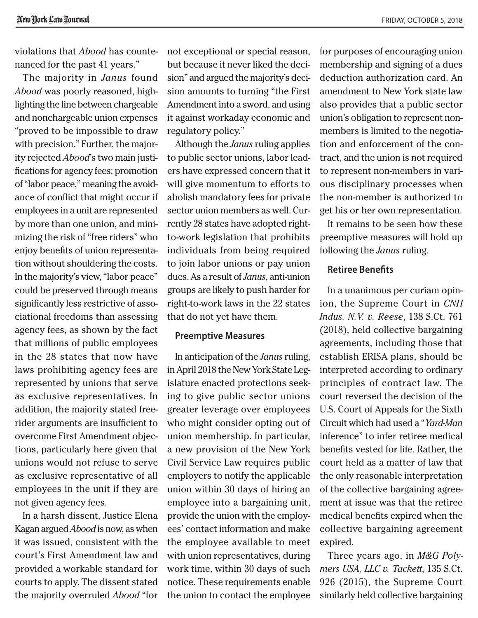violations that *Abood* has countenanced for the past 41 years."

The majority in *Janus* found *Abood* was poorly reasoned, highlighting the line between chargeable and nonchargeable union expenses "proved to be impossible to draw with precision." Further, the majority rejected *Abood*'s two main justifications for agency fees: promotion of "labor peace," meaning the avoidance of conflict that might occur if employees in a unit are represented by more than one union, and minimizing the risk of "free riders" who enjoy benefits of union representation without shouldering the costs. In the majority's view, "labor peace" could be preserved through means significantly less restrictive of associational freedoms than assessing agency fees, as shown by the fact that millions of public employees in the 28 states that now have laws prohibiting agency fees are represented by unions that serve as exclusive representatives. In addition, the majority stated freerider arguments are insufficient to overcome First Amendment objections, particularly here given that unions would not refuse to serve as exclusive representative of all employees in the unit if they are not given agency fees.

In a harsh dissent, Justice Elena Kagan argued *Abood* is now, as when it was issued, consistent with the court's First Amendment law and provided a workable standard for courts to apply. The dissent stated the majority overruled *Abood* "for

not exceptional or special reason, but because it never liked the decision" and argued the majority's decision amounts to turning "the First Amendment into a sword, and using it against workaday economic and regulatory policy."

Although the *Janus* ruling applies to public sector unions, labor leaders have expressed concern that it will give momentum to efforts to abolish mandatory fees for private sector union members as well. Currently 28 states have adopted rightto-work legislation that prohibits individuals from being required to join labor unions or pay union dues. As a result of *Janus*, anti-union groups are likely to push harder for right-to-work laws in the 22 states that do not yet have them.

#### **Preemptive Measures**

In anticipation of the *Janus* ruling, in April 2018 the New York State Legislature enacted protections seeking to give public sector unions greater leverage over employees who might consider opting out of union membership. In particular, a new provision of the New York Civil Service Law requires public employers to notify the applicable union within 30 days of hiring an employee into a bargaining unit, provide the union with the employees' contact information and make the employee available to meet with union representatives, during work time, within 30 days of such notice. These requirements enable the union to contact the employee

for purposes of encouraging union membership and signing of a dues deduction authorization card. An amendment to New York state law also provides that a public sector union's obligation to represent nonmembers is limited to the negotiation and enforcement of the contract, and the union is not required to represent non-members in various disciplinary processes when the non-member is authorized to get his or her own representation.

It remains to be seen how these preemptive measures will hold up following the *Janus* ruling.

### **Retiree Benefits**

In a unanimous per curiam opinion, the Supreme Court in *CNH Indus. N.V. v. Reese*, 138 S.Ct. 761 (2018), held collective bargaining agreements, including those that establish ERISA plans, should be interpreted according to ordinary principles of contract law. The court reversed the decision of the U.S. Court of Appeals for the Sixth Circuit which had used a "*Yard-Man* inference" to infer retiree medical benefits vested for life. Rather, the court held as a matter of law that the only reasonable interpretation of the collective bargaining agreement at issue was that the retiree medical benefits expired when the collective bargaining agreement expired.

Three years ago, in *M&G Polymers USA, LLC v. Tackett*, 135 S.Ct. 926 (2015), the Supreme Court similarly held collective bargaining